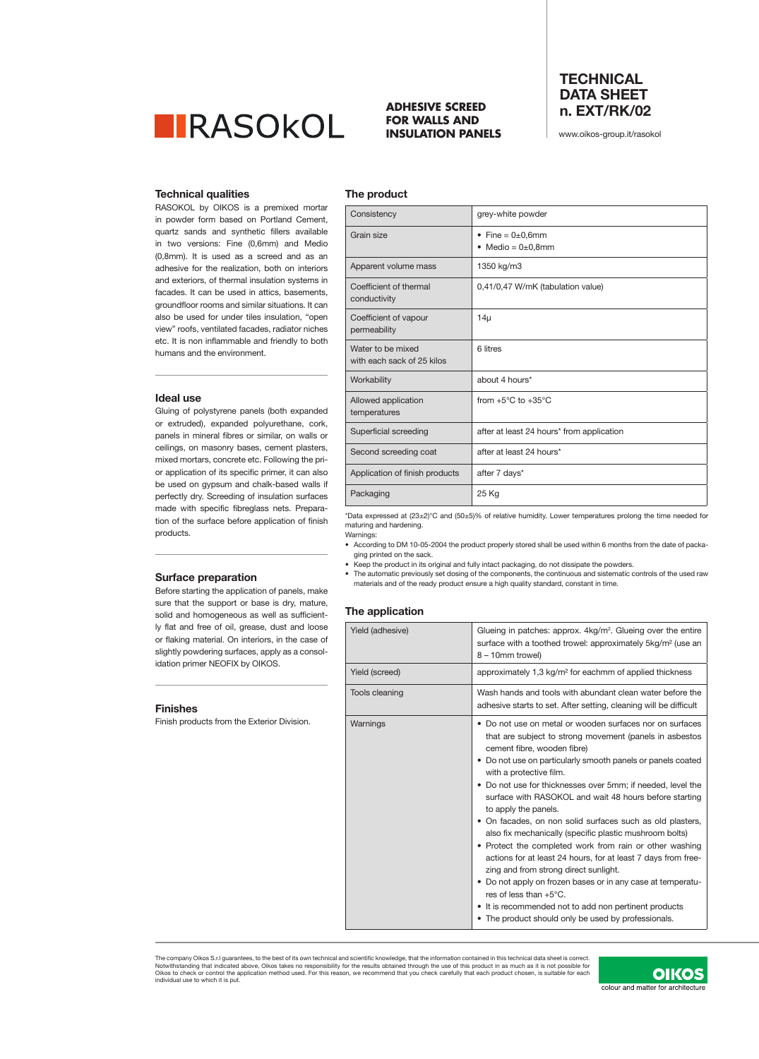

## **ADHESIVE SCREED FOR WALLS AND INSULATION PANELS**

**The product**

# **TECHNICAL DATA SHEET n. EXT/RK/02**

www.oikos-group.it/rasokol

### **Technical qualities**

RASOKOL by OIKOS is a premixed mortar in powder form based on Portland Cement, quartz sands and synthetic fillers available in two versions: Fine (0,6mm) and Medio (0,8mm). It is used as a screed and as an adhesive for the realization, both on interiors and exteriors, of thermal insulation systems in facades. It can be used in attics, basements, groundfloor rooms and similar situations. It can also be used for under tiles insulation, "open view" roofs, ventilated facades, radiator niches etc. It is non inflammable and friendly to both humans and the environment.

#### **Ideal use**

Gluing of polystyrene panels (both expanded or extruded), expanded polyurethane, cork, panels in mineral fibres or similar, on walls or ceilings, on masonry bases, cement plasters, mixed mortars, concrete etc. Following the prior application of its specific primer, it can also be used on gypsum and chalk-based walls if perfectly dry. Screeding of insulation surfaces made with specific fibreglass nets. Preparation of the surface before application of finish products.

# **Surface preparation**

Before starting the application of panels, make sure that the support or base is dry, mature, solid and homogeneous as well as sufficiently flat and free of oil, grease, dust and loose or flaking material. On interiors, in the case of slightly powdering surfaces, apply as a consolidation primer NEOFIX by OIKOS.

#### **Finishes**

Finish products from the Exterior Division.

| Consistency                                     | grey-white powder                                  |
|-------------------------------------------------|----------------------------------------------------|
| Grain size                                      | • Fine = $0\pm0,6$ mm<br>Medio = $0\pm0.8$ mm<br>٠ |
| Apparent volume mass                            | 1350 kg/m3                                         |
| Coefficient of thermal<br>conductivity          | 0,41/0,47 W/mK (tabulation value)                  |
| Coefficient of vapour<br>permeability           | $14\mu$                                            |
| Water to be mixed<br>with each sack of 25 kilos | 6 litres                                           |
| Workability                                     | about 4 hours*                                     |
| Allowed application<br>temperatures             | from $+5^{\circ}$ C to $+35^{\circ}$ C             |
| Superficial screeding                           | after at least 24 hours* from application          |
| Second screeding coat                           | after at least 24 hours*                           |
| Application of finish products                  | after 7 days*                                      |
| Packaging                                       | 25 Kg                                              |
|                                                 |                                                    |

\*Data expressed at (23±2)°C and (50±5)% of relative humidity. Lower temperatures prolong the time needed for maturing and hardening.

Warnings: • According to DM 10-05-2004 the product properly stored shall be used within 6 months from the date of packaging printed on the sack.

• Keep the product in its original and fully intact packaging, do not dissipate the powders.

• The automatic previously set dosing of the components, the continuous and sistematic controls of the used raw materials and of the ready product ensure a high quality standard, constant in time.

#### **The application**

| Yield (adhesive) | Glueing in patches: approx. $4\text{kg/m}^2$ . Glueing over the entire<br>surface with a toothed trowel: approximately 5kg/m <sup>2</sup> (use an<br>8 - 10mm trowel)                                                                                                                                                                                                                                                                                                                                                                                                                                                                                                                                                                                                                                                                                                                                         |
|------------------|---------------------------------------------------------------------------------------------------------------------------------------------------------------------------------------------------------------------------------------------------------------------------------------------------------------------------------------------------------------------------------------------------------------------------------------------------------------------------------------------------------------------------------------------------------------------------------------------------------------------------------------------------------------------------------------------------------------------------------------------------------------------------------------------------------------------------------------------------------------------------------------------------------------|
| Yield (screed)   | approximately 1,3 kg/m <sup>2</sup> for eachmm of applied thickness                                                                                                                                                                                                                                                                                                                                                                                                                                                                                                                                                                                                                                                                                                                                                                                                                                           |
| Tools cleaning   | Wash hands and tools with abundant clean water before the<br>adhesive starts to set. After setting, cleaning will be difficult                                                                                                                                                                                                                                                                                                                                                                                                                                                                                                                                                                                                                                                                                                                                                                                |
| Warnings         | • Do not use on metal or wooden surfaces nor on surfaces<br>that are subject to strong movement (panels in asbestos<br>cement fibre, wooden fibre)<br>• Do not use on particularly smooth panels or panels coated<br>with a protective film.<br>• Do not use for thicknesses over 5mm; if needed, level the<br>surface with RASOKOL and wait 48 hours before starting<br>to apply the panels.<br>• On facades, on non solid surfaces such as old plasters,<br>also fix mechanically (specific plastic mushroom bolts)<br>• Protect the completed work from rain or other washing<br>actions for at least 24 hours, for at least 7 days from free-<br>zing and from strong direct sunlight.<br>• Do not apply on frozen bases or in any case at temperatu-<br>res of less than $+5^{\circ}$ C.<br>• It is recommended not to add non pertinent products<br>• The product should only be used by professionals. |

The company Oikos S.r.I guarantees, to the best of its own technical and scientific knowledge, that the information contained in this technical data sheet is correct.<br>Notwithstanding that indicated above, Oikos takes no re